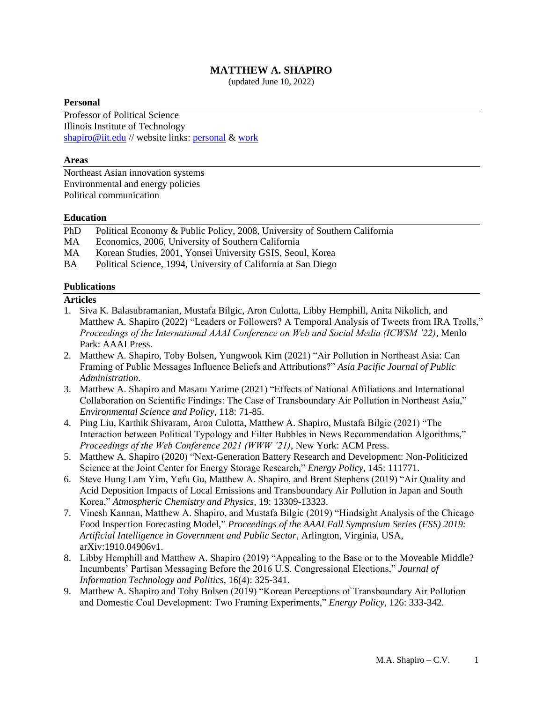# **MATTHEW A. SHAPIRO**

(updated June 10, 2022)

### **Personal**

Professor of Political Science Illinois Institute of Technology [shapiro@iit.edu](mailto:shapiro@iit.edu) // website links: [personal](http://www.understandgreen.com/) & [work](https://humansciences.iit.edu/faculty/matthew-shapiro)

#### **Areas**

Northeast Asian innovation systems Environmental and energy policies Political communication

## **Education**

PhD Political Economy & Public Policy, 2008, University of Southern California

- MA Economics, 2006, University of Southern California
- MA Korean Studies, 2001, Yonsei University GSIS, Seoul, Korea
- BA Political Science, 1994, University of California at San Diego

#### **Publications**

#### **Articles**

- 1. Siva K. Balasubramanian, Mustafa Bilgic, Aron Culotta, Libby Hemphill, Anita Nikolich, and Matthew A. Shapiro (2022) "Leaders or Followers? A Temporal Analysis of Tweets from IRA Trolls," *Proceedings of the International AAAI Conference on Web and Social Media (ICWSM '22)*, Menlo Park: AAAI Press.
- 2. Matthew A. Shapiro, Toby Bolsen, Yungwook Kim (2021) "Air Pollution in Northeast Asia: Can Framing of Public Messages Influence Beliefs and Attributions?" *Asia Pacific Journal of Public Administration*.
- 3. Matthew A. Shapiro and Masaru Yarime (2021) "Effects of National Affiliations and International Collaboration on Scientific Findings: The Case of Transboundary Air Pollution in Northeast Asia," *Environmental Science and Policy*, 118: 71-85.
- 4. Ping Liu, Karthik Shivaram, Aron Culotta, Matthew A. Shapiro, Mustafa Bilgic (2021) "The Interaction between Political Typology and Filter Bubbles in News Recommendation Algorithms," *Proceedings of the Web Conference 2021 (WWW '21)*, New York: ACM Press.
- 5. Matthew A. Shapiro (2020) "Next-Generation Battery Research and Development: Non-Politicized Science at the Joint Center for Energy Storage Research," *Energy Policy*, 145: 111771.
- 6. Steve Hung Lam Yim, Yefu Gu, Matthew A. Shapiro, and Brent Stephens (2019) "Air Quality and Acid Deposition Impacts of Local Emissions and Transboundary Air Pollution in Japan and South Korea," *Atmospheric Chemistry and Physics*, 19: 13309-13323.
- 7. Vinesh Kannan, Matthew A. Shapiro, and Mustafa Bilgic (2019) "Hindsight Analysis of the Chicago Food Inspection Forecasting Model," *Proceedings of the AAAI Fall Symposium Series (FSS) 2019: Artificial Intelligence in Government and Public Sector*, Arlington, Virginia, USA, arXiv:1910.04906v1.
- 8. Libby Hemphill and Matthew A. Shapiro (2019) "Appealing to the Base or to the Moveable Middle? Incumbents' Partisan Messaging Before the 2016 U.S. Congressional Elections," *Journal of Information Technology and Politics*, 16(4): 325-341.
- 9. Matthew A. Shapiro and Toby Bolsen (2019) "Korean Perceptions of Transboundary Air Pollution and Domestic Coal Development: Two Framing Experiments," *Energy Policy*, 126: 333-342.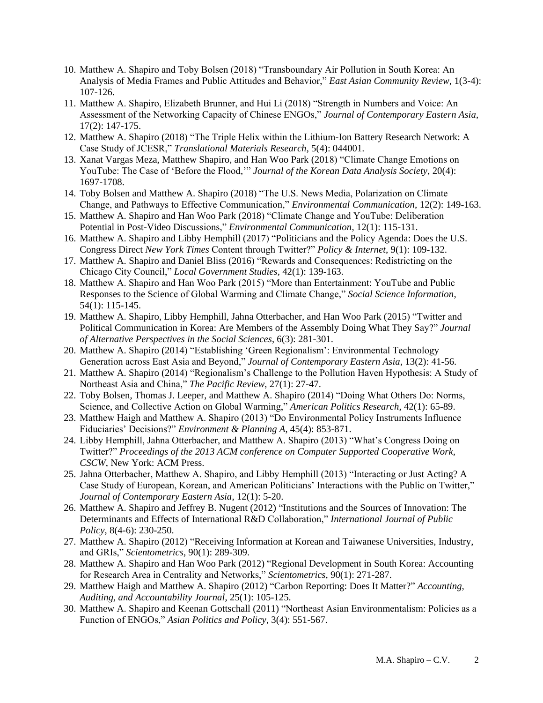- 10. Matthew A. Shapiro and Toby Bolsen (2018) "Transboundary Air Pollution in South Korea: An Analysis of Media Frames and Public Attitudes and Behavior," *East Asian Community Review*, 1(3-4): 107-126.
- 11. Matthew A. Shapiro, Elizabeth Brunner, and Hui Li (2018) "Strength in Numbers and Voice: An Assessment of the Networking Capacity of Chinese ENGOs," *Journal of Contemporary Eastern Asia*, 17(2): 147-175.
- 12. Matthew A. Shapiro (2018) "The Triple Helix within the Lithium-Ion Battery Research Network: A Case Study of JCESR," *Translational Materials Research*, 5(4): 044001.
- 13. Xanat Vargas Meza, Matthew Shapiro, and Han Woo Park (2018) "Climate Change Emotions on YouTube: The Case of 'Before the Flood,'" *Journal of the Korean Data Analysis Society*, 20(4): 1697-1708.
- 14. Toby Bolsen and Matthew A. Shapiro (2018) "The U.S. News Media, Polarization on Climate Change, and Pathways to Effective Communication," *Environmental Communication*, 12(2): 149-163.
- 15. Matthew A. Shapiro and Han Woo Park (2018) "Climate Change and YouTube: Deliberation Potential in Post-Video Discussions," *Environmental Communication*, 12(1): 115-131.
- 16. Matthew A. Shapiro and Libby Hemphill (2017) "Politicians and the Policy Agenda: Does the U.S. Congress Direct *New York Times* Content through Twitter?" *Policy & Internet*, 9(1): 109-132.
- 17. Matthew A. Shapiro and Daniel Bliss (2016) "Rewards and Consequences: Redistricting on the Chicago City Council," *Local Government Studies*, 42(1): 139-163.
- 18. Matthew A. Shapiro and Han Woo Park (2015) "More than Entertainment: YouTube and Public Responses to the Science of Global Warming and Climate Change," *Social Science Information*, 54(1): 115-145.
- 19. Matthew A. Shapiro, Libby Hemphill, Jahna Otterbacher, and Han Woo Park (2015) "Twitter and Political Communication in Korea: Are Members of the Assembly Doing What They Say?" *Journal of Alternative Perspectives in the Social Sciences*, 6(3): 281-301.
- 20. Matthew A. Shapiro (2014) "Establishing 'Green Regionalism': Environmental Technology Generation across East Asia and Beyond," *Journal of Contemporary Eastern Asia*, 13(2): 41-56.
- 21. Matthew A. Shapiro (2014) "Regionalism's Challenge to the Pollution Haven Hypothesis: A Study of Northeast Asia and China," *The Pacific Review*, 27(1): 27-47.
- 22. Toby Bolsen, Thomas J. Leeper, and Matthew A. Shapiro (2014) "Doing What Others Do: Norms, Science, and Collective Action on Global Warming," *American Politics Research*, 42(1): 65-89.
- 23. Matthew Haigh and Matthew A. Shapiro (2013) "Do Environmental Policy Instruments Influence Fiduciaries' Decisions?" *Environment & Planning A*, 45(4): 853-871.
- 24. Libby Hemphill, Jahna Otterbacher, and Matthew A. Shapiro (2013) "What's Congress Doing on Twitter?" *Proceedings of the 2013 ACM conference on Computer Supported Cooperative Work, CSCW*, New York: ACM Press.
- 25. Jahna Otterbacher, Matthew A. Shapiro, and Libby Hemphill (2013) "Interacting or Just Acting? A Case Study of European, Korean, and American Politicians' Interactions with the Public on Twitter," *Journal of Contemporary Eastern Asia*, 12(1): 5-20.
- 26. Matthew A. Shapiro and Jeffrey B. Nugent (2012) "Institutions and the Sources of Innovation: The Determinants and Effects of International R&D Collaboration," *International Journal of Public Policy*, 8(4-6): 230-250.
- 27. Matthew A. Shapiro (2012) "Receiving Information at Korean and Taiwanese Universities, Industry, and GRIs," *Scientometrics*, 90(1): 289-309.
- 28. Matthew A. Shapiro and Han Woo Park (2012) "Regional Development in South Korea: Accounting for Research Area in Centrality and Networks," *Scientometrics*, 90(1): 271-287.
- 29. Matthew Haigh and Matthew A. Shapiro (2012) "Carbon Reporting: Does It Matter?" *Accounting, Auditing, and Accountability Journal*, 25(1): 105-125.
- 30. Matthew A. Shapiro and Keenan Gottschall (2011) "Northeast Asian Environmentalism: Policies as a Function of ENGOs," *Asian Politics and Policy*, 3(4): 551-567.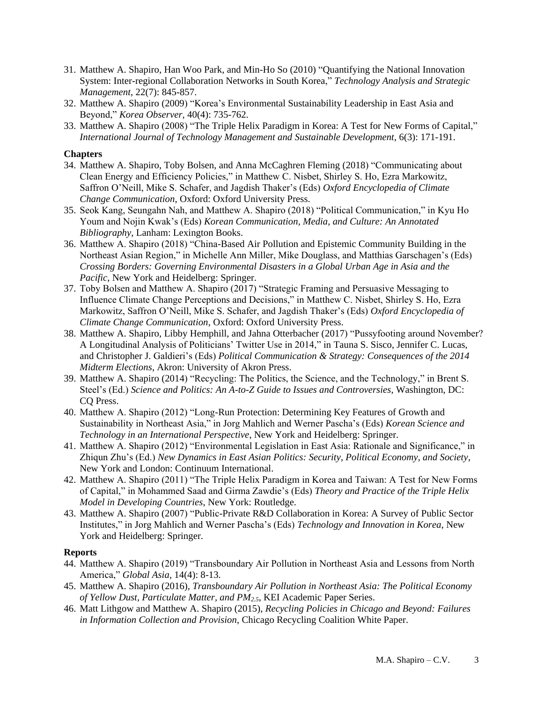- 31. Matthew A. Shapiro, Han Woo Park, and Min-Ho So (2010) "Quantifying the National Innovation System: Inter-regional Collaboration Networks in South Korea," *Technology Analysis and Strategic Management*, 22(7): 845-857.
- 32. Matthew A. Shapiro (2009) "Korea's Environmental Sustainability Leadership in East Asia and Beyond," *Korea Observer*, 40(4): 735-762.
- 33. Matthew A. Shapiro (2008) "The Triple Helix Paradigm in Korea: A Test for New Forms of Capital," *International Journal of Technology Management and Sustainable Development*, 6(3): 171-191.

## **Chapters**

- 34. Matthew A. Shapiro, Toby Bolsen, and Anna McCaghren Fleming (2018) "Communicating about Clean Energy and Efficiency Policies," in Matthew C. Nisbet, Shirley S. Ho, Ezra Markowitz, Saffron O'Neill, Mike S. Schafer, and Jagdish Thaker's (Eds) *Oxford Encyclopedia of Climate Change Communication*, Oxford: Oxford University Press.
- 35. Seok Kang, Seungahn Nah, and Matthew A. Shapiro (2018) "Political Communication," in Kyu Ho Youm and Nojin Kwak's (Eds) *Korean Communication, Media, and Culture: An Annotated Bibliography*, Lanham: Lexington Books.
- 36. Matthew A. Shapiro (2018) "China-Based Air Pollution and Epistemic Community Building in the Northeast Asian Region," in Michelle Ann Miller, Mike Douglass, and Matthias Garschagen's (Eds) *Crossing Borders: Governing Environmental Disasters in a Global Urban Age in Asia and the Pacific*, New York and Heidelberg: Springer.
- 37. Toby Bolsen and Matthew A. Shapiro (2017) "Strategic Framing and Persuasive Messaging to Influence Climate Change Perceptions and Decisions," in Matthew C. Nisbet, Shirley S. Ho, Ezra Markowitz, Saffron O'Neill, Mike S. Schafer, and Jagdish Thaker's (Eds) *Oxford Encyclopedia of Climate Change Communication*, Oxford: Oxford University Press.
- 38. Matthew A. Shapiro, Libby Hemphill, and Jahna Otterbacher (2017) "Pussyfooting around November? A Longitudinal Analysis of Politicians' Twitter Use in 2014," in Tauna S. Sisco, Jennifer C. Lucas, and Christopher J. Galdieri's (Eds) *Political Communication & Strategy: Consequences of the 2014 Midterm Elections*, Akron: University of Akron Press.
- 39. Matthew A. Shapiro (2014) "Recycling: The Politics, the Science, and the Technology," in Brent S. Steel's (Ed.) *Science and Politics: An A-to-Z Guide to Issues and Controversies*, Washington, DC: CQ Press.
- 40. Matthew A. Shapiro (2012) "Long-Run Protection: Determining Key Features of Growth and Sustainability in Northeast Asia," in Jorg Mahlich and Werner Pascha's (Eds) *Korean Science and Technology in an International Perspective*, New York and Heidelberg: Springer.
- 41. Matthew A. Shapiro (2012) "Environmental Legislation in East Asia: Rationale and Significance," in Zhiqun Zhu's (Ed.) *New Dynamics in East Asian Politics: Security, Political Economy, and Society*, New York and London: Continuum International.
- 42. Matthew A. Shapiro (2011) "The Triple Helix Paradigm in Korea and Taiwan: A Test for New Forms of Capital," in Mohammed Saad and Girma Zawdie's (Eds) *Theory and Practice of the Triple Helix Model in Developing Countries*, New York: Routledge.
- 43. Matthew A. Shapiro (2007) "Public-Private R&D Collaboration in Korea: A Survey of Public Sector Institutes," in Jorg Mahlich and Werner Pascha's (Eds) *Technology and Innovation in Korea*, New York and Heidelberg: Springer.

## **Reports**

- 44. Matthew A. Shapiro (2019) "Transboundary Air Pollution in Northeast Asia and Lessons from North America," *Global Asia*, 14(4): 8-13.
- 45. Matthew A. Shapiro (2016), *Transboundary Air Pollution in Northeast Asia: The Political Economy of Yellow Dust, Particulate Matter, and PM2.5*, KEI Academic Paper Series.
- 46. Matt Lithgow and Matthew A. Shapiro (2015), *Recycling Policies in Chicago and Beyond: Failures in Information Collection and Provision*, Chicago Recycling Coalition White Paper.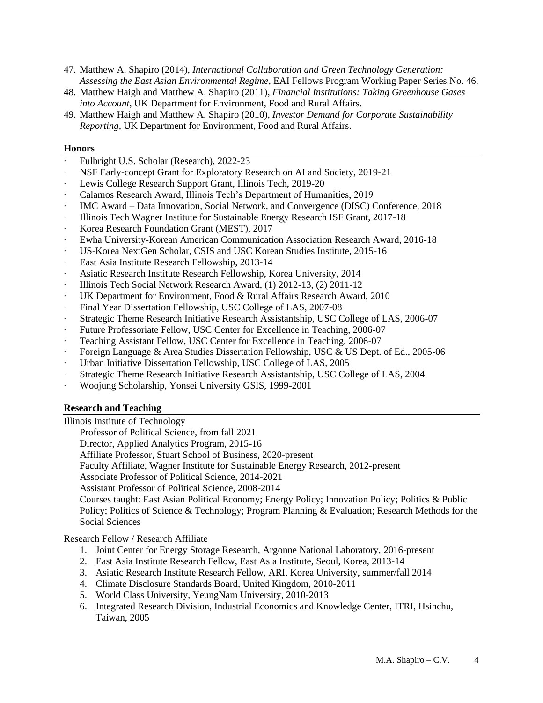- 47. Matthew A. Shapiro (2014), *International Collaboration and Green Technology Generation: Assessing the East Asian Environmental Regime*, EAI Fellows Program Working Paper Series No. 46.
- 48. Matthew Haigh and Matthew A. Shapiro (2011), *Financial Institutions: Taking Greenhouse Gases into Account*, UK Department for Environment, Food and Rural Affairs.
- 49. Matthew Haigh and Matthew A. Shapiro (2010), *Investor Demand for Corporate Sustainability Reporting,* UK Department for Environment, Food and Rural Affairs.

#### **Honors**

- ∙ Fulbright U.S. Scholar (Research), 2022-23
- ∙ NSF Early-concept Grant for Exploratory Research on AI and Society, 2019-21
- ∙ Lewis College Research Support Grant, Illinois Tech, 2019-20
- ∙ Calamos Research Award, Illinois Tech's Department of Humanities, 2019
- ∙ IMC Award Data Innovation, Social Network, and Convergence (DISC) Conference, 2018
- ∙ Illinois Tech Wagner Institute for Sustainable Energy Research ISF Grant, 2017-18
- ∙ Korea Research Foundation Grant (MEST), 2017
- ∙ Ewha University-Korean American Communication Association Research Award, 2016-18
- ∙ US-Korea NextGen Scholar, CSIS and USC Korean Studies Institute, 2015-16
- ∙ East Asia Institute Research Fellowship, 2013-14
- ∙ Asiatic Research Institute Research Fellowship, Korea University, 2014
- ∙ Illinois Tech Social Network Research Award, (1) 2012-13, (2) 2011-12
- ∙ UK Department for Environment, Food & Rural Affairs Research Award, 2010
- ∙ Final Year Dissertation Fellowship, USC College of LAS, 2007-08
- ∙ Strategic Theme Research Initiative Research Assistantship, USC College of LAS, 2006-07
- ∙ Future Professoriate Fellow, USC Center for Excellence in Teaching, 2006-07
- ∙ Teaching Assistant Fellow, USC Center for Excellence in Teaching, 2006-07
- ∙ Foreign Language & Area Studies Dissertation Fellowship, USC & US Dept. of Ed., 2005-06
- ∙ Urban Initiative Dissertation Fellowship, USC College of LAS, 2005
- ∙ Strategic Theme Research Initiative Research Assistantship, USC College of LAS, 2004
- ∙ Woojung Scholarship, Yonsei University GSIS, 1999-2001

## **Research and Teaching**

Illinois Institute of Technology

Professor of Political Science, from fall 2021

Director, Applied Analytics Program, 2015-16

Affiliate Professor, Stuart School of Business, 2020-present

Faculty Affiliate, Wagner Institute for Sustainable Energy Research, 2012-present

Associate Professor of Political Science, 2014-2021

Assistant Professor of Political Science, 2008-2014

Courses taught: East Asian Political Economy; Energy Policy; Innovation Policy; Politics & Public Policy; Politics of Science & Technology; Program Planning & Evaluation; Research Methods for the Social Sciences

Research Fellow / Research Affiliate

- 1. Joint Center for Energy Storage Research, Argonne National Laboratory, 2016-present
- 2. East Asia Institute Research Fellow, East Asia Institute, Seoul, Korea, 2013-14
- 3. Asiatic Research Institute Research Fellow, ARI, Korea University, summer/fall 2014
- 4. Climate Disclosure Standards Board, United Kingdom, 2010-2011
- 5. World Class University, YeungNam University, 2010-2013
- 6. Integrated Research Division, Industrial Economics and Knowledge Center, ITRI, Hsinchu, Taiwan, 2005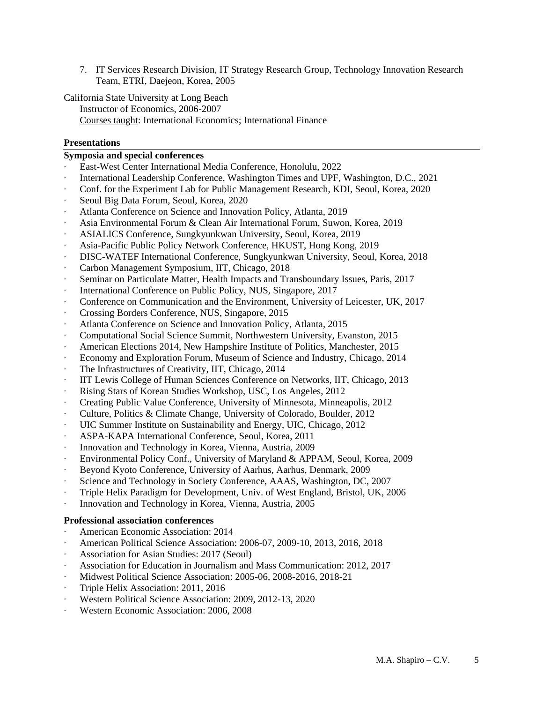- 7. IT Services Research Division, IT Strategy Research Group, Technology Innovation Research Team, ETRI, Daejeon, Korea, 2005
- California State University at Long Beach Instructor of Economics, 2006-2007 Courses taught: International Economics; International Finance

### **Presentations**

### **Symposia and special conferences**

- ∙ East-West Center International Media Conference, Honolulu, 2022
- ∙ International Leadership Conference, Washington Times and UPF, Washington, D.C., 2021
- ∙ Conf. for the Experiment Lab for Public Management Research, KDI, Seoul, Korea, 2020
- ∙ Seoul Big Data Forum, Seoul, Korea, 2020
- ∙ Atlanta Conference on Science and Innovation Policy, Atlanta, 2019
- ∙ Asia Environmental Forum & Clean Air International Forum, Suwon, Korea, 2019
- ∙ ASIALICS Conference, Sungkyunkwan University, Seoul, Korea, 2019
- ∙ Asia-Pacific Public Policy Network Conference, HKUST, Hong Kong, 2019
- ∙ DISC-WATEF International Conference, Sungkyunkwan University, Seoul, Korea, 2018
- ∙ Carbon Management Symposium, IIT, Chicago, 2018
- ∙ Seminar on Particulate Matter, Health Impacts and Transboundary Issues, Paris, 2017
- ∙ International Conference on Public Policy, NUS, Singapore, 2017
- ∙ Conference on Communication and the Environment, University of Leicester, UK, 2017
- ∙ Crossing Borders Conference, NUS, Singapore, 2015
- ∙ Atlanta Conference on Science and Innovation Policy, Atlanta, 2015
- ∙ Computational Social Science Summit, Northwestern University, Evanston, 2015
- ∙ American Elections 2014, New Hampshire Institute of Politics, Manchester, 2015
- ∙ Economy and Exploration Forum, Museum of Science and Industry, Chicago, 2014
- ∙ The Infrastructures of Creativity, IIT, Chicago, 2014
- ∙ IIT Lewis College of Human Sciences Conference on Networks, IIT, Chicago, 2013
- ∙ Rising Stars of Korean Studies Workshop, USC, Los Angeles, 2012
- ∙ Creating Public Value Conference, University of Minnesota, Minneapolis, 2012
- ∙ Culture, Politics & Climate Change, University of Colorado, Boulder, 2012
- ∙ UIC Summer Institute on Sustainability and Energy, UIC, Chicago, 2012
- ∙ ASPA-KAPA International Conference, Seoul, Korea, 2011
- ∙ Innovation and Technology in Korea, Vienna, Austria, 2009
- ∙ Environmental Policy Conf., University of Maryland & APPAM, Seoul, Korea, 2009
- ∙ Beyond Kyoto Conference, University of Aarhus, Aarhus, Denmark, 2009
- ∙ Science and Technology in Society Conference, AAAS, Washington, DC, 2007
- ∙ Triple Helix Paradigm for Development, Univ. of West England, Bristol, UK, 2006
- ∙ Innovation and Technology in Korea, Vienna, Austria, 2005

#### **Professional association conferences**

- ∙ American Economic Association: 2014
- ∙ American Political Science Association: 2006-07, 2009-10, 2013, 2016, 2018
- ∙ Association for Asian Studies: 2017 (Seoul)
- ∙ Association for Education in Journalism and Mass Communication: 2012, 2017
- ∙ Midwest Political Science Association: 2005-06, 2008-2016, 2018-21
- ∙ Triple Helix Association: 2011, 2016
- ∙ Western Political Science Association: 2009, 2012-13, 2020
- ∙ Western Economic Association: 2006, 2008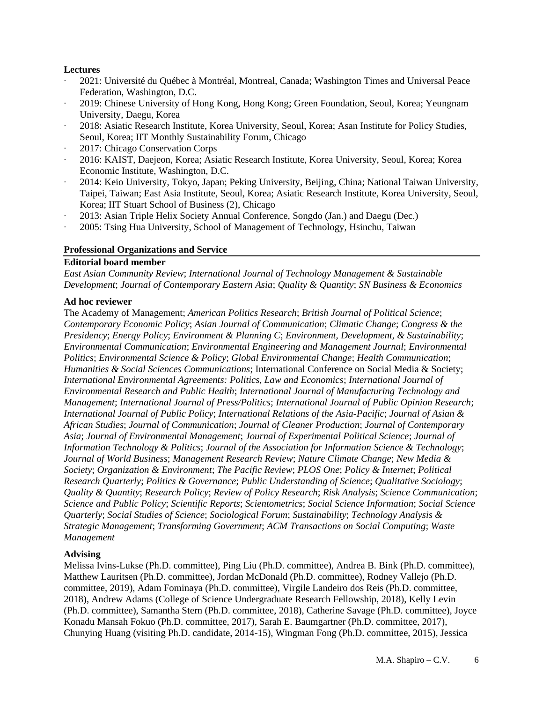## **Lectures**

- ∙ 2021: Université du Québec à Montréal, Montreal, Canada; Washington Times and Universal Peace Federation, Washington, D.C.
- ∙ 2019: Chinese University of Hong Kong, Hong Kong; Green Foundation, Seoul, Korea; Yeungnam University, Daegu, Korea
- ∙ 2018: Asiatic Research Institute, Korea University, Seoul, Korea; Asan Institute for Policy Studies, Seoul, Korea; IIT Monthly Sustainability Forum, Chicago
- ∙ 2017: Chicago Conservation Corps
- ∙ 2016: KAIST, Daejeon, Korea; Asiatic Research Institute, Korea University, Seoul, Korea; Korea Economic Institute, Washington, D.C.
- ∙ 2014: Keio University, Tokyo, Japan; Peking University, Beijing, China; National Taiwan University, Taipei, Taiwan; East Asia Institute, Seoul, Korea; Asiatic Research Institute, Korea University, Seoul, Korea; IIT Stuart School of Business (2), Chicago
- ∙ 2013: Asian Triple Helix Society Annual Conference, Songdo (Jan.) and Daegu (Dec.)
- ∙ 2005: Tsing Hua University, School of Management of Technology, Hsinchu, Taiwan

## **Professional Organizations and Service**

## **Editorial board member**

*East Asian Community Review*; *International Journal of Technology Management & Sustainable Development*; *Journal of Contemporary Eastern Asia*; *Quality & Quantity*; *SN Business & Economics*

## **Ad hoc reviewer**

The Academy of Management; *American Politics Research*; *British Journal of Political Science*; *Contemporary Economic Policy*; *Asian Journal of Communication*; *Climatic Change*; *Congress & the Presidency*; *Energy Policy*; *Environment & Planning C*; *Environment, Development, & Sustainability*; *Environmental Communication*; *Environmental Engineering and Management Journal*; *Environmental Politics*; *Environmental Science & Policy*; *Global Environmental Change*; *Health Communication*; *Humanities & Social Sciences Communications*; International Conference on Social Media & Society; *International Environmental Agreements: Politics, Law and Economics*; *International Journal of Environmental Research and Public Health*; *International Journal of Manufacturing Technology and Management*; *International Journal of Press/Politics*; *International Journal of Public Opinion Research*; *International Journal of Public Policy*; *International Relations of the Asia-Pacific*; *Journal of Asian & African Studies*; *Journal of Communication*; *Journal of Cleaner Production*; *Journal of Contemporary Asia*; *Journal of Environmental Management*; *Journal of Experimental Political Science*; *Journal of Information Technology & Politics*; *Journal of the Association for Information Science & Technology*; *Journal of World Business*; *Management Research Review*; *Nature Climate Change*; *New Media & Society*; *Organization & Environment*; *The Pacific Review*; *PLOS One*; *Policy & Internet*; *Political Research Quarterly*; *Politics & Governance*; *Public Understanding of Science*; *Qualitative Sociology*; *Quality & Quantity*; *Research Policy*; *Review of Policy Research*; *Risk Analysis*; *Science Communication*; *Science and Public Policy*; *Scientific Reports*; *Scientometrics*; *Social Science Information*; *Social Science Quarterly*; *Social Studies of Science*; *Sociological Forum*; *Sustainability*; *Technology Analysis & Strategic Management*; *Transforming Government*; *ACM Transactions on Social Computing*; *Waste Management*

# **Advising**

Melissa Ivins-Lukse (Ph.D. committee), Ping Liu (Ph.D. committee), Andrea B. Bink (Ph.D. committee), Matthew Lauritsen (Ph.D. committee), Jordan McDonald (Ph.D. committee), Rodney Vallejo (Ph.D. committee, 2019), Adam Fominaya (Ph.D. committee), Virgile Landeiro dos Reis (Ph.D. committee, 2018), Andrew Adams (College of Science Undergraduate Research Fellowship, 2018), Kelly Levin (Ph.D. committee), Samantha Stern (Ph.D. committee, 2018), Catherine Savage (Ph.D. committee), Joyce Konadu Mansah Fokuo (Ph.D. committee, 2017), Sarah E. Baumgartner (Ph.D. committee, 2017), Chunying Huang (visiting Ph.D. candidate, 2014-15), Wingman Fong (Ph.D. committee, 2015), Jessica